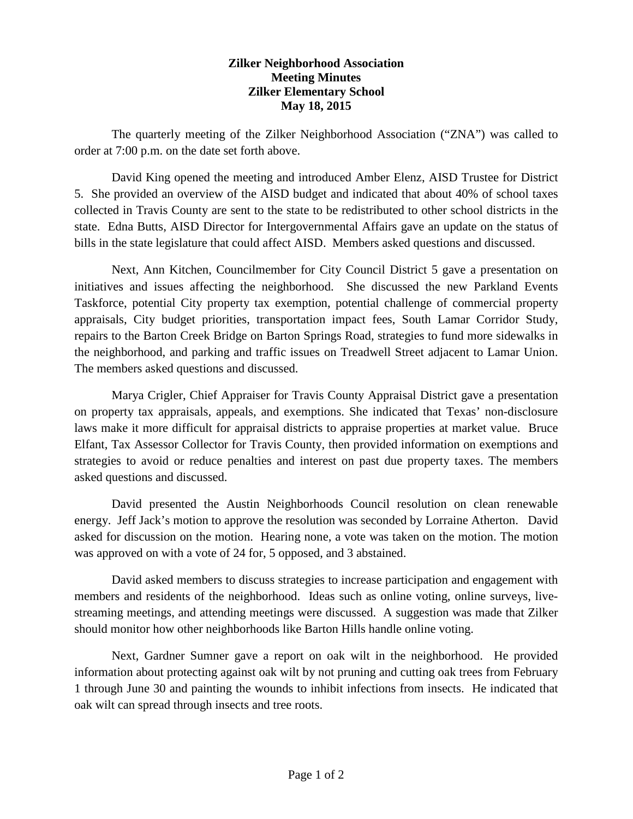## **Zilker Neighborhood Association Meeting Minutes Zilker Elementary School May 18, 2015**

The quarterly meeting of the Zilker Neighborhood Association ("ZNA") was called to order at 7:00 p.m. on the date set forth above.

David King opened the meeting and introduced Amber Elenz, AISD Trustee for District 5. She provided an overview of the AISD budget and indicated that about 40% of school taxes collected in Travis County are sent to the state to be redistributed to other school districts in the state. Edna Butts, AISD Director for Intergovernmental Affairs gave an update on the status of bills in the state legislature that could affect AISD. Members asked questions and discussed.

Next, Ann Kitchen, Councilmember for City Council District 5 gave a presentation on initiatives and issues affecting the neighborhood. She discussed the new Parkland Events Taskforce, potential City property tax exemption, potential challenge of commercial property appraisals, City budget priorities, transportation impact fees, South Lamar Corridor Study, repairs to the Barton Creek Bridge on Barton Springs Road, strategies to fund more sidewalks in the neighborhood, and parking and traffic issues on Treadwell Street adjacent to Lamar Union. The members asked questions and discussed.

Marya Crigler, Chief Appraiser for Travis County Appraisal District gave a presentation on property tax appraisals, appeals, and exemptions. She indicated that Texas' non-disclosure laws make it more difficult for appraisal districts to appraise properties at market value. Bruce Elfant, Tax Assessor Collector for Travis County, then provided information on exemptions and strategies to avoid or reduce penalties and interest on past due property taxes. The members asked questions and discussed.

David presented the Austin Neighborhoods Council resolution on clean renewable energy. Jeff Jack's motion to approve the resolution was seconded by Lorraine Atherton. David asked for discussion on the motion. Hearing none, a vote was taken on the motion. The motion was approved on with a vote of 24 for, 5 opposed, and 3 abstained.

David asked members to discuss strategies to increase participation and engagement with members and residents of the neighborhood. Ideas such as online voting, online surveys, livestreaming meetings, and attending meetings were discussed. A suggestion was made that Zilker should monitor how other neighborhoods like Barton Hills handle online voting.

Next, Gardner Sumner gave a report on oak wilt in the neighborhood. He provided information about protecting against oak wilt by not pruning and cutting oak trees from February 1 through June 30 and painting the wounds to inhibit infections from insects. He indicated that oak wilt can spread through insects and tree roots.